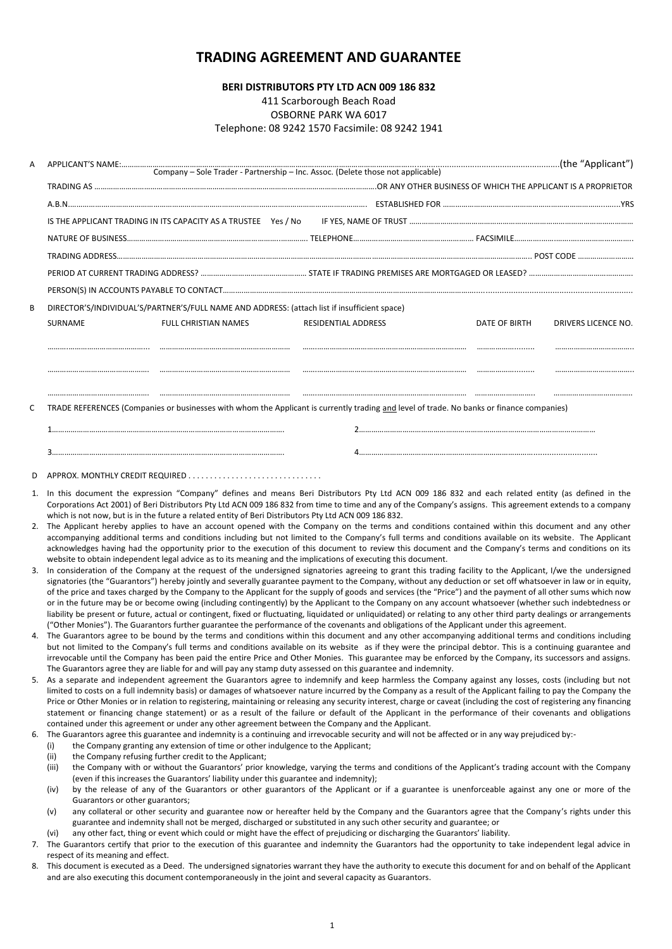# **TRADING AGREEMENT AND GUARANTEE**

## **BERI DISTRIBUTORS PTY LTD ACN 009 186 832**

411 Scarborough Beach Road

OSBORNE PARK WA 6017

## Telephone: 08 9242 1570 Facsimile: 08 9242 1941

| А  |                                                                                                                                                                                                                                                                                                                                                                                                                                                                                                                                                                                                                                                                                                                                                                                                                                                                                                                                                                                                                                                                                                                                                                                                                                                                                                                                                                                                                                                                                                                                                                                                                                                                                                                                                                                                                                                                   |  |  |  |  |  |
|----|-------------------------------------------------------------------------------------------------------------------------------------------------------------------------------------------------------------------------------------------------------------------------------------------------------------------------------------------------------------------------------------------------------------------------------------------------------------------------------------------------------------------------------------------------------------------------------------------------------------------------------------------------------------------------------------------------------------------------------------------------------------------------------------------------------------------------------------------------------------------------------------------------------------------------------------------------------------------------------------------------------------------------------------------------------------------------------------------------------------------------------------------------------------------------------------------------------------------------------------------------------------------------------------------------------------------------------------------------------------------------------------------------------------------------------------------------------------------------------------------------------------------------------------------------------------------------------------------------------------------------------------------------------------------------------------------------------------------------------------------------------------------------------------------------------------------------------------------------------------------|--|--|--|--|--|
|    |                                                                                                                                                                                                                                                                                                                                                                                                                                                                                                                                                                                                                                                                                                                                                                                                                                                                                                                                                                                                                                                                                                                                                                                                                                                                                                                                                                                                                                                                                                                                                                                                                                                                                                                                                                                                                                                                   |  |  |  |  |  |
|    |                                                                                                                                                                                                                                                                                                                                                                                                                                                                                                                                                                                                                                                                                                                                                                                                                                                                                                                                                                                                                                                                                                                                                                                                                                                                                                                                                                                                                                                                                                                                                                                                                                                                                                                                                                                                                                                                   |  |  |  |  |  |
|    |                                                                                                                                                                                                                                                                                                                                                                                                                                                                                                                                                                                                                                                                                                                                                                                                                                                                                                                                                                                                                                                                                                                                                                                                                                                                                                                                                                                                                                                                                                                                                                                                                                                                                                                                                                                                                                                                   |  |  |  |  |  |
|    |                                                                                                                                                                                                                                                                                                                                                                                                                                                                                                                                                                                                                                                                                                                                                                                                                                                                                                                                                                                                                                                                                                                                                                                                                                                                                                                                                                                                                                                                                                                                                                                                                                                                                                                                                                                                                                                                   |  |  |  |  |  |
|    |                                                                                                                                                                                                                                                                                                                                                                                                                                                                                                                                                                                                                                                                                                                                                                                                                                                                                                                                                                                                                                                                                                                                                                                                                                                                                                                                                                                                                                                                                                                                                                                                                                                                                                                                                                                                                                                                   |  |  |  |  |  |
|    |                                                                                                                                                                                                                                                                                                                                                                                                                                                                                                                                                                                                                                                                                                                                                                                                                                                                                                                                                                                                                                                                                                                                                                                                                                                                                                                                                                                                                                                                                                                                                                                                                                                                                                                                                                                                                                                                   |  |  |  |  |  |
|    |                                                                                                                                                                                                                                                                                                                                                                                                                                                                                                                                                                                                                                                                                                                                                                                                                                                                                                                                                                                                                                                                                                                                                                                                                                                                                                                                                                                                                                                                                                                                                                                                                                                                                                                                                                                                                                                                   |  |  |  |  |  |
| В  | DIRECTOR'S/INDIVIDUAL'S/PARTNER'S/FULL NAME AND ADDRESS: (attach list if insufficient space)                                                                                                                                                                                                                                                                                                                                                                                                                                                                                                                                                                                                                                                                                                                                                                                                                                                                                                                                                                                                                                                                                                                                                                                                                                                                                                                                                                                                                                                                                                                                                                                                                                                                                                                                                                      |  |  |  |  |  |
|    | FULL CHRISTIAN NAMES<br>RESIDENTIAL ADDRESS<br>SURNAME<br>DATE OF BIRTH<br>DRIVERS LICENCE NO.                                                                                                                                                                                                                                                                                                                                                                                                                                                                                                                                                                                                                                                                                                                                                                                                                                                                                                                                                                                                                                                                                                                                                                                                                                                                                                                                                                                                                                                                                                                                                                                                                                                                                                                                                                    |  |  |  |  |  |
|    |                                                                                                                                                                                                                                                                                                                                                                                                                                                                                                                                                                                                                                                                                                                                                                                                                                                                                                                                                                                                                                                                                                                                                                                                                                                                                                                                                                                                                                                                                                                                                                                                                                                                                                                                                                                                                                                                   |  |  |  |  |  |
|    |                                                                                                                                                                                                                                                                                                                                                                                                                                                                                                                                                                                                                                                                                                                                                                                                                                                                                                                                                                                                                                                                                                                                                                                                                                                                                                                                                                                                                                                                                                                                                                                                                                                                                                                                                                                                                                                                   |  |  |  |  |  |
|    |                                                                                                                                                                                                                                                                                                                                                                                                                                                                                                                                                                                                                                                                                                                                                                                                                                                                                                                                                                                                                                                                                                                                                                                                                                                                                                                                                                                                                                                                                                                                                                                                                                                                                                                                                                                                                                                                   |  |  |  |  |  |
| С  | TRADE REFERENCES (Companies or businesses with whom the Applicant is currently trading and level of trade. No banks or finance companies)                                                                                                                                                                                                                                                                                                                                                                                                                                                                                                                                                                                                                                                                                                                                                                                                                                                                                                                                                                                                                                                                                                                                                                                                                                                                                                                                                                                                                                                                                                                                                                                                                                                                                                                         |  |  |  |  |  |
|    |                                                                                                                                                                                                                                                                                                                                                                                                                                                                                                                                                                                                                                                                                                                                                                                                                                                                                                                                                                                                                                                                                                                                                                                                                                                                                                                                                                                                                                                                                                                                                                                                                                                                                                                                                                                                                                                                   |  |  |  |  |  |
|    |                                                                                                                                                                                                                                                                                                                                                                                                                                                                                                                                                                                                                                                                                                                                                                                                                                                                                                                                                                                                                                                                                                                                                                                                                                                                                                                                                                                                                                                                                                                                                                                                                                                                                                                                                                                                                                                                   |  |  |  |  |  |
| D  |                                                                                                                                                                                                                                                                                                                                                                                                                                                                                                                                                                                                                                                                                                                                                                                                                                                                                                                                                                                                                                                                                                                                                                                                                                                                                                                                                                                                                                                                                                                                                                                                                                                                                                                                                                                                                                                                   |  |  |  |  |  |
| 3. | 1. In this document the expression "Company" defines and means Beri Distributors Pty Ltd ACN 009 186 832 and each related entity (as defined in the<br>Corporations Act 2001) of Beri Distributors Pty Ltd ACN 009 186 832 from time to time and any of the Company's assigns. This agreement extends to a company<br>which is not now, but is in the future a related entity of Beri Distributors Pty Ltd ACN 009 186 832.<br>2. The Applicant hereby applies to have an account opened with the Company on the terms and conditions contained within this document and any other<br>accompanying additional terms and conditions including but not limited to the Company's full terms and conditions available on its website. The Applicant<br>acknowledges having had the opportunity prior to the execution of this document to review this document and the Company's terms and conditions on its<br>website to obtain independent legal advice as to its meaning and the implications of executing this document.<br>In consideration of the Company at the request of the undersigned signatories agreeing to grant this trading facility to the Applicant, I/we the undersigned<br>signatories (the "Guarantors") hereby jointly and severally guarantee payment to the Company, without any deduction or set off whatsoever in law or in equity,<br>of the price and taxes charged by the Company to the Applicant for the supply of goods and services (the "Price") and the payment of all other sums which now<br>or in the future may be or become owing (including contingently) by the Applicant to the Company on any account whatsoever (whether such indebtedness or<br>liability be present or future, actual or contingent, fixed or fluctuating, liquidated or unliquidated) or relating to any other third party dealings or arrangements |  |  |  |  |  |
|    | ("Other Monies"). The Guarantors further guarantee the performance of the covenants and obligations of the Applicant under this agreement.<br>4. The Guarantors agree to be bound by the terms and conditions within this document and any other accompanying additional terms and conditions including<br>but not limited to the Company's full terms and conditions available on its website as if they were the principal debtor. This is a continuing guarantee and<br>irrevocable until the Company has been paid the entire Price and Other Monies. This guarantee may be enforced by the Company, its successors and assigns.<br>The Guarantors agree they are liable for and will pay any stamp duty assessed on this guarantee and indemnity.                                                                                                                                                                                                                                                                                                                                                                                                                                                                                                                                                                                                                                                                                                                                                                                                                                                                                                                                                                                                                                                                                                            |  |  |  |  |  |
| 5. | As a separate and independent agreement the Guarantors agree to indemnify and keep harmless the Company against any losses, costs (including but not<br>limited to costs on a full indemnity basis) or damages of whatsoever nature incurred by the Company as a result of the Applicant failing to pay the Company the<br>Price or Other Monies or in relation to registering, maintaining or releasing any security interest, charge or caveat (including the cost of registering any financing<br>statement or financing change statement) or as a result of the failure or default of the Applicant in the performance of their covenants and obligations<br>contained under this agreement or under any other agreement between the Company and the Applicant.                                                                                                                                                                                                                                                                                                                                                                                                                                                                                                                                                                                                                                                                                                                                                                                                                                                                                                                                                                                                                                                                                               |  |  |  |  |  |
| 6. | The Guarantors agree this guarantee and indemnity is a continuing and irrevocable security and will not be affected or in any way prejudiced by:-<br>the Company granting any extension of time or other indulgence to the Applicant;<br>(i)<br>(ii)<br>the Company refusing further credit to the Applicant;                                                                                                                                                                                                                                                                                                                                                                                                                                                                                                                                                                                                                                                                                                                                                                                                                                                                                                                                                                                                                                                                                                                                                                                                                                                                                                                                                                                                                                                                                                                                                     |  |  |  |  |  |
|    | (iii)<br>the Company with or without the Guarantors' prior knowledge, varying the terms and conditions of the Applicant's trading account with the Company<br>(even if this increases the Guarantors' liability under this guarantee and indemnity);                                                                                                                                                                                                                                                                                                                                                                                                                                                                                                                                                                                                                                                                                                                                                                                                                                                                                                                                                                                                                                                                                                                                                                                                                                                                                                                                                                                                                                                                                                                                                                                                              |  |  |  |  |  |
|    | by the release of any of the Guarantors or other guarantors of the Applicant or if a guarantee is unenforceable against any one or more of the<br>(iv)<br>Guarantors or other guarantors;                                                                                                                                                                                                                                                                                                                                                                                                                                                                                                                                                                                                                                                                                                                                                                                                                                                                                                                                                                                                                                                                                                                                                                                                                                                                                                                                                                                                                                                                                                                                                                                                                                                                         |  |  |  |  |  |
|    | any collateral or other security and guarantee now or hereafter held by the Company and the Guarantors agree that the Company's rights under this<br>(v)<br>guarantee and indemnity shall not be merged, discharged or substituted in any such other security and guarantee; or                                                                                                                                                                                                                                                                                                                                                                                                                                                                                                                                                                                                                                                                                                                                                                                                                                                                                                                                                                                                                                                                                                                                                                                                                                                                                                                                                                                                                                                                                                                                                                                   |  |  |  |  |  |
|    | any other fact, thing or event which could or might have the effect of prejudicing or discharging the Guarantors' liability.<br>(vi)<br>7. The Guarantors certify that prior to the execution of this guarantee and indemnity the Guarantors had the opportunity to take independent legal advice in<br>respect of its meaning and effect.                                                                                                                                                                                                                                                                                                                                                                                                                                                                                                                                                                                                                                                                                                                                                                                                                                                                                                                                                                                                                                                                                                                                                                                                                                                                                                                                                                                                                                                                                                                        |  |  |  |  |  |
|    | 8. This document is executed as a Deed. The undersigned signatories warrant they have the authority to execute this document for and on behalf of the Applicant<br>and are also executing this document contemporaneously in the joint and several capacity as Guarantors.                                                                                                                                                                                                                                                                                                                                                                                                                                                                                                                                                                                                                                                                                                                                                                                                                                                                                                                                                                                                                                                                                                                                                                                                                                                                                                                                                                                                                                                                                                                                                                                        |  |  |  |  |  |